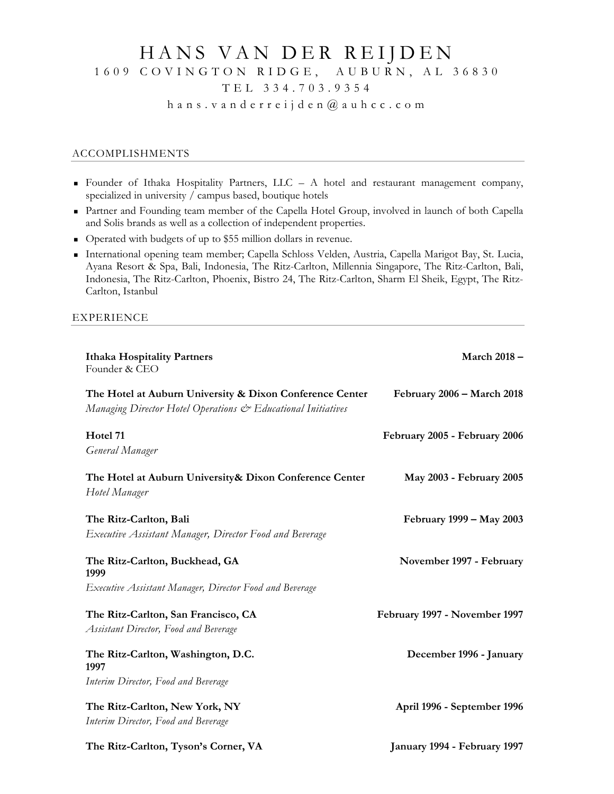# HANS VAN DER REIJDEN 1609 COVINGTON RIDGE, AUBURN, AL 36830

# TEL 334.703.9354

hans.vanderreijden @ auhcc .com

## ACCOMPLISHMENTS

- Founder of Ithaka Hospitality Partners,  $LLC A$  hotel and restaurant management company, specialized in university / campus based, boutique hotels
- Partner and Founding team member of the Capella Hotel Group, involved in launch of both Capella and Solis brands as well as a collection of independent properties.
- Operated with budgets of up to \$55 million dollars in revenue.
- International opening team member; Capella Schloss Velden, Austria, Capella Marigot Bay, St. Lucia, Ayana Resort & Spa, Bali, Indonesia, The Ritz-Carlton, Millennia Singapore, The Ritz-Carlton, Bali, Indonesia, The Ritz-Carlton, Phoenix, Bistro 24, The Ritz-Carlton, Sharm El Sheik, Egypt, The Ritz-Carlton, Istanbul

#### EXPERIENCE

| <b>Ithaka Hospitality Partners</b><br>Founder & CEO                                                                      | March 2018-                   |
|--------------------------------------------------------------------------------------------------------------------------|-------------------------------|
| The Hotel at Auburn University & Dixon Conference Center<br>Managing Director Hotel Operations & Educational Initiatives | February 2006 - March 2018    |
| Hotel 71<br>General Manager                                                                                              | February 2005 - February 2006 |
| The Hotel at Auburn University & Dixon Conference Center<br>Hotel Manager                                                | May 2003 - February 2005      |
| The Ritz-Carlton, Bali<br>Executive Assistant Manager, Director Food and Beverage                                        | February 1999 – May 2003      |
| The Ritz-Carlton, Buckhead, GA<br>1999                                                                                   | November 1997 - February      |
| Executive Assistant Manager, Director Food and Beverage                                                                  |                               |
| The Ritz-Carlton, San Francisco, CA<br><b>Assistant Director, Food and Beverage</b>                                      | February 1997 - November 1997 |
| The Ritz-Carlton, Washington, D.C.<br>1997                                                                               | December 1996 - January       |
| Interim Director, Food and Beverage                                                                                      |                               |
| The Ritz-Carlton, New York, NY<br>Interim Director, Food and Beverage                                                    | April 1996 - September 1996   |
| The Ritz-Carlton, Tyson's Corner, VA                                                                                     | January 1994 - February 1997  |